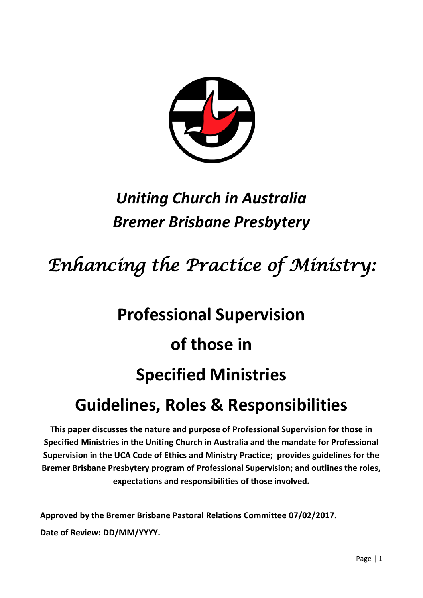

# *Uniting Church in Australia Bremer Brisbane Presbytery*

# *Enhancing the Practice of Ministry:*

# **Professional Supervision of those in Specified Ministries**

# **Guidelines, Roles & Responsibilities**

**This paper discusses the nature and purpose of Professional Supervision for those in Specified Ministries in the Uniting Church in Australia and the mandate for Professional Supervision in the UCA Code of Ethics and Ministry Practice; provides guidelines for the Bremer Brisbane Presbytery program of Professional Supervision; and outlines the roles, expectations and responsibilities of those involved.**

**Approved by the Bremer Brisbane Pastoral Relations Committee 07/02/2017. Date of Review: DD/MM/YYYY.**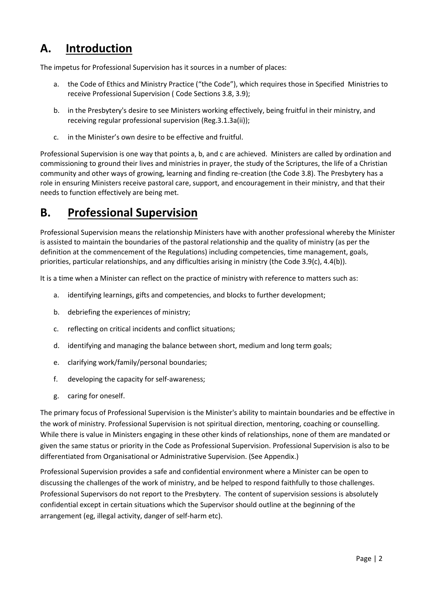# **A. Introduction**

The impetus for Professional Supervision has it sources in a number of places:

- a. the Code of Ethics and Ministry Practice ("the Code"), which requires those in Specified Ministries to receive Professional Supervision ( Code Sections 3.8, 3.9);
- b. in the Presbytery's desire to see Ministers working effectively, being fruitful in their ministry, and receiving regular professional supervision (Reg.3.1.3a(ii));
- c. in the Minister's own desire to be effective and fruitful.

Professional Supervision is one way that points a, b, and c are achieved. Ministers are called by ordination and commissioning to ground their lives and ministries in prayer, the study of the Scriptures, the life of a Christian community and other ways of growing, learning and finding re-creation (the Code 3.8). The Presbytery has a role in ensuring Ministers receive pastoral care, support, and encouragement in their ministry, and that their needs to function effectively are being met.

# **B. Professional Supervision**

Professional Supervision means the relationship Ministers have with another professional whereby the Minister is assisted to maintain the boundaries of the pastoral relationship and the quality of ministry (as per the definition at the commencement of the Regulations) including competencies, time management, goals, priorities, particular relationships, and any difficulties arising in ministry (the Code 3.9(c), 4.4(b)).

It is a time when a Minister can reflect on the practice of ministry with reference to matters such as:

- a. identifying learnings, gifts and competencies, and blocks to further development;
- b. debriefing the experiences of ministry;
- c. reflecting on critical incidents and conflict situations;
- d. identifying and managing the balance between short, medium and long term goals;
- e. clarifying work/family/personal boundaries;
- f. developing the capacity for self-awareness;
- g. caring for oneself.

The primary focus of Professional Supervision is the Minister's ability to maintain boundaries and be effective in the work of ministry. Professional Supervision is not spiritual direction, mentoring, coaching or counselling. While there is value in Ministers engaging in these other kinds of relationships, none of them are mandated or given the same status or priority in the Code as Professional Supervision. Professional Supervision is also to be differentiated from Organisational or Administrative Supervision. (See Appendix.)

Professional Supervision provides a safe and confidential environment where a Minister can be open to discussing the challenges of the work of ministry, and be helped to respond faithfully to those challenges. Professional Supervisors do not report to the Presbytery. The content of supervision sessions is absolutely confidential except in certain situations which the Supervisor should outline at the beginning of the arrangement (eg, illegal activity, danger of self-harm etc).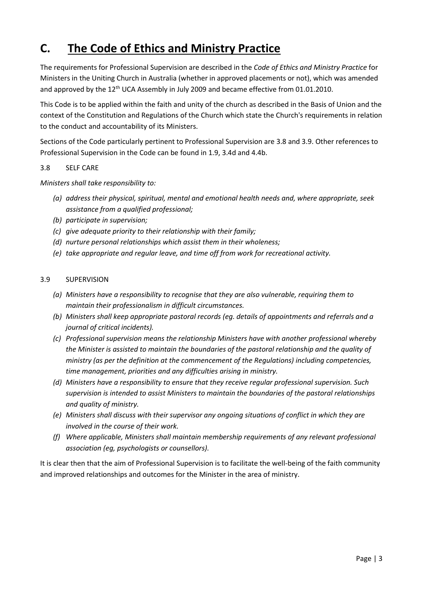# **C. The Code of Ethics and Ministry Practice**

The requirements for Professional Supervision are described in the *Code of Ethics and Ministry Practice* for Ministers in the Uniting Church in Australia (whether in approved placements or not), which was amended and approved by the 12<sup>th</sup> UCA Assembly in July 2009 and became effective from 01.01.2010.

This Code is to be applied within the faith and unity of the church as described in the Basis of Union and the context of the Constitution and Regulations of the Church which state the Church's requirements in relation to the conduct and accountability of its Ministers.

Sections of the Code particularly pertinent to Professional Supervision are 3.8 and 3.9. Other references to Professional Supervision in the Code can be found in 1.9, 3.4d and 4.4b.

#### 3.8 SELF CARE

*Ministers shall take responsibility to:*

- *(a) address their physical, spiritual, mental and emotional health needs and, where appropriate, seek assistance from a qualified professional;*
- *(b) participate in supervision;*
- *(c) give adequate priority to their relationship with their family;*
- *(d) nurture personal relationships which assist them in their wholeness;*
- *(e) take appropriate and regular leave, and time off from work for recreational activity.*

#### 3.9 SUPERVISION

- *(a) Ministers have a responsibility to recognise that they are also vulnerable, requiring them to maintain their professionalism in difficult circumstances.*
- *(b) Ministers shall keep appropriate pastoral records (eg. details of appointments and referrals and a journal of critical incidents).*
- *(c) Professional supervision means the relationship Ministers have with another professional whereby the Minister is assisted to maintain the boundaries of the pastoral relationship and the quality of ministry (as per the definition at the commencement of the Regulations) including competencies, time management, priorities and any difficulties arising in ministry.*
- *(d) Ministers have a responsibility to ensure that they receive regular professional supervision. Such supervision is intended to assist Ministers to maintain the boundaries of the pastoral relationships and quality of ministry.*
- *(e) Ministers shall discuss with their supervisor any ongoing situations of conflict in which they are involved in the course of their work.*
- *(f) Where applicable, Ministers shall maintain membership requirements of any relevant professional association (eg, psychologists or counsellors).*

It is clear then that the aim of Professional Supervision is to facilitate the well-being of the faith community and improved relationships and outcomes for the Minister in the area of ministry.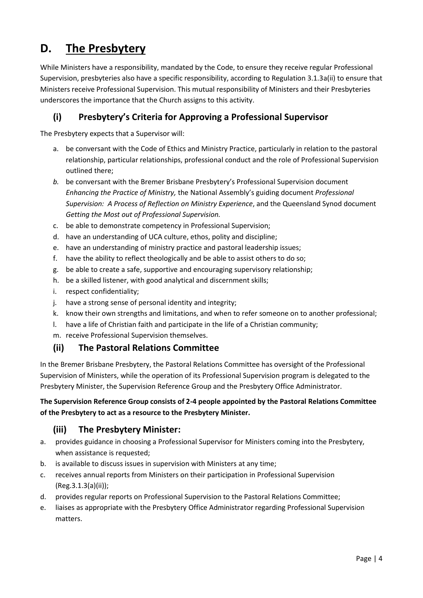# **D. The Presbytery**

While Ministers have a responsibility, mandated by the Code, to ensure they receive regular Professional Supervision, presbyteries also have a specific responsibility, according to Regulation 3.1.3a(ii) to ensure that Ministers receive Professional Supervision. This mutual responsibility of Ministers and their Presbyteries underscores the importance that the Church assigns to this activity.

# **(i) Presbytery's Criteria for Approving a Professional Supervisor**

The Presbytery expects that a Supervisor will:

- a. be conversant with the Code of Ethics and Ministry Practice, particularly in relation to the pastoral relationship, particular relationships, professional conduct and the role of Professional Supervision outlined there;
- *b.* be conversant with the Bremer Brisbane Presbytery's Professional Supervision document *Enhancing the Practice of Ministry,* the National Assembly's guiding document *Professional Supervision: A Process of Reflection on Ministry Experience*, and the Queensland Synod document *Getting the Most out of Professional Supervision.*
- c. be able to demonstrate competency in Professional Supervision;
- d. have an understanding of UCA culture, ethos, polity and discipline;
- e. have an understanding of ministry practice and pastoral leadership issues;
- f. have the ability to reflect theologically and be able to assist others to do so;
- g. be able to create a safe, supportive and encouraging supervisory relationship;
- h. be a skilled listener, with good analytical and discernment skills;
- i. respect confidentiality;
- j. have a strong sense of personal identity and integrity;
- k. know their own strengths and limitations, and when to refer someone on to another professional;
- l. have a life of Christian faith and participate in the life of a Christian community;
- m. receive Professional Supervision themselves.

# **(ii) The Pastoral Relations Committee**

In the Bremer Brisbane Presbytery, the Pastoral Relations Committee has oversight of the Professional Supervision of Ministers, while the operation of its Professional Supervision program is delegated to the Presbytery Minister, the Supervision Reference Group and the Presbytery Office Administrator.

## **The Supervision Reference Group consists of 2-4 people appointed by the Pastoral Relations Committee of the Presbytery to act as a resource to the Presbytery Minister.**

# **(iii) The Presbytery Minister:**

- a. provides guidance in choosing a Professional Supervisor for Ministers coming into the Presbytery, when assistance is requested;
- b. is available to discuss issues in supervision with Ministers at any time;
- c. receives annual reports from Ministers on their participation in Professional Supervision (Reg.3.1.3(a)(ii));
- d. provides regular reports on Professional Supervision to the Pastoral Relations Committee;
- e. liaises as appropriate with the Presbytery Office Administrator regarding Professional Supervision matters.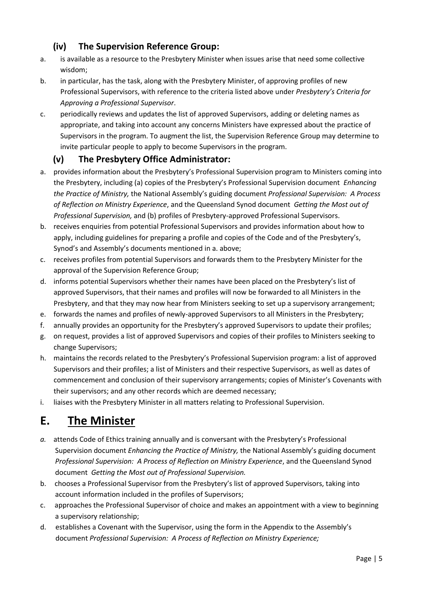# **(iv) The Supervision Reference Group:**

- a. is available as a resource to the Presbytery Minister when issues arise that need some collective wisdom;
- b. in particular, has the task, along with the Presbytery Minister, of approving profiles of new Professional Supervisors, with reference to the criteria listed above under *Presbytery's Criteria for Approving a Professional Supervisor*.
- c. periodically reviews and updates the list of approved Supervisors, adding or deleting names as appropriate, and taking into account any concerns Ministers have expressed about the practice of Supervisors in the program. To augment the list, the Supervision Reference Group may determine to invite particular people to apply to become Supervisors in the program.

# **(v) The Presbytery Office Administrator:**

- a. provides information about the Presbytery's Professional Supervision program to Ministers coming into the Presbytery, including (a) copies of the Presbytery's Professional Supervision document *Enhancing the Practice of Ministry,* the National Assembly's guiding document *Professional Supervision: A Process of Reflection on Ministry Experience*, and the Queensland Synod document *Getting the Most out of Professional Supervision,* and (b) profiles of Presbytery-approved Professional Supervisors.
- b. receives enquiries from potential Professional Supervisors and provides information about how to apply, including guidelines for preparing a profile and copies of the Code and of the Presbytery's, Synod's and Assembly's documents mentioned in a. above;
- c. receives profiles from potential Supervisors and forwards them to the Presbytery Minister for the approval of the Supervision Reference Group;
- d. informs potential Supervisors whether their names have been placed on the Presbytery's list of approved Supervisors, that their names and profiles will now be forwarded to all Ministers in the Presbytery, and that they may now hear from Ministers seeking to set up a supervisory arrangement;
- e. forwards the names and profiles of newly-approved Supervisors to all Ministers in the Presbytery;
- f. annually provides an opportunity for the Presbytery's approved Supervisors to update their profiles;
- g. on request, provides a list of approved Supervisors and copies of their profiles to Ministers seeking to change Supervisors;
- h. maintains the records related to the Presbytery's Professional Supervision program: a list of approved Supervisors and their profiles; a list of Ministers and their respective Supervisors, as well as dates of commencement and conclusion of their supervisory arrangements; copies of Minister's Covenants with their supervisors; and any other records which are deemed necessary;
- i. liaises with the Presbytery Minister in all matters relating to Professional Supervision.

# **E. The Minister**

- *a.* attends Code of Ethics training annually and is conversant with the Presbytery's Professional Supervision document *Enhancing the Practice of Ministry,* the National Assembly's guiding document *Professional Supervision: A Process of Reflection on Ministry Experience*, and the Queensland Synod document *Getting the Most out of Professional Supervision.*
- b. chooses a Professional Supervisor from the Presbytery's list of approved Supervisors, taking into account information included in the profiles of Supervisors;
- c. approaches the Professional Supervisor of choice and makes an appointment with a view to beginning a supervisory relationship;
- d. establishes a Covenant with the Supervisor, using the form in the Appendix to the Assembly's document *Professional Supervision: A Process of Reflection on Ministry Experience;*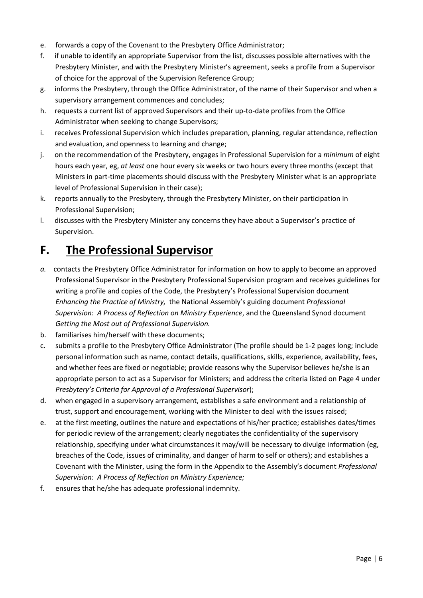- e. forwards a copy of the Covenant to the Presbytery Office Administrator;
- f. if unable to identify an appropriate Supervisor from the list, discusses possible alternatives with the Presbytery Minister, and with the Presbytery Minister's agreement, seeks a profile from a Supervisor of choice for the approval of the Supervision Reference Group;
- g. informs the Presbytery, through the Office Administrator, of the name of their Supervisor and when a supervisory arrangement commences and concludes;
- h. requests a current list of approved Supervisors and their up-to-date profiles from the Office Administrator when seeking to change Supervisors;
- i. receives Professional Supervision which includes preparation, planning, regular attendance, reflection and evaluation, and openness to learning and change;
- j. on the recommendation of the Presbytery, engages in Professional Supervision for a *minimum* of eight hours each year, eg, *at least* one hour every six weeks or two hours every three months (except that Ministers in part-time placements should discuss with the Presbytery Minister what is an appropriate level of Professional Supervision in their case);
- k. reports annually to the Presbytery, through the Presbytery Minister, on their participation in Professional Supervision;
- l. discusses with the Presbytery Minister any concerns they have about a Supervisor's practice of Supervision.

# **F. The Professional Supervisor**

- *a.* contacts the Presbytery Office Administrator for information on how to apply to become an approved Professional Supervisor in the Presbytery Professional Supervision program and receives guidelines for writing a profile and copies of the Code, the Presbytery's Professional Supervision document *Enhancing the Practice of Ministry,* the National Assembly's guiding document *Professional Supervision: A Process of Reflection on Ministry Experience*, and the Queensland Synod document *Getting the Most out of Professional Supervision.*
- b. familiarises him/herself with these documents;
- c. submits a profile to the Presbytery Office Administrator (The profile should be 1-2 pages long; include personal information such as name, contact details, qualifications, skills, experience, availability, fees, and whether fees are fixed or negotiable; provide reasons why the Supervisor believes he/she is an appropriate person to act as a Supervisor for Ministers; and address the criteria listed on Page 4 under *Presbytery's Criteria for Approval of a Professional Supervisor*);
- d. when engaged in a supervisory arrangement, establishes a safe environment and a relationship of trust, support and encouragement, working with the Minister to deal with the issues raised;
- e. at the first meeting, outlines the nature and expectations of his/her practice; establishes dates/times for periodic review of the arrangement; clearly negotiates the confidentiality of the supervisory relationship, specifying under what circumstances it may/will be necessary to divulge information (eg, breaches of the Code, issues of criminality, and danger of harm to self or others); and establishes a Covenant with the Minister, using the form in the Appendix to the Assembly's document *Professional Supervision: A Process of Reflection on Ministry Experience;*
- f. ensures that he/she has adequate professional indemnity.